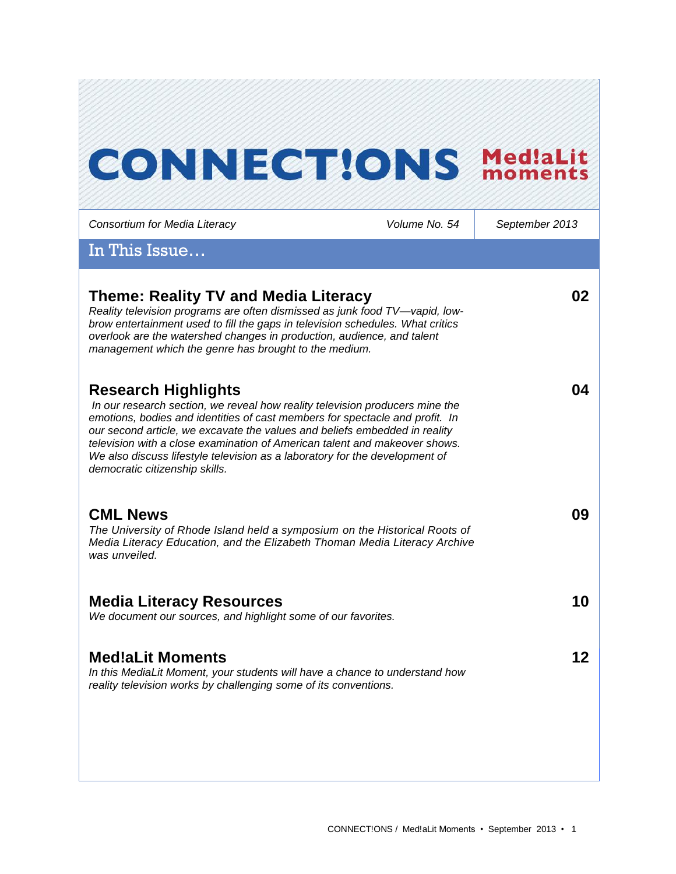# **CONNECT!ONS MediaLit**

*Consortium for Media Literacy Volume No. 54 September 2013* In This Issue… **Theme: Reality TV and Media Literacy** *Reality television programs are often dismissed as junk food TV—vapid, lowbrow entertainment used to fill the gaps in television schedules. What critics overlook are the watershed changes in production, audience, and talent management which the genre has brought to the medium.*  **02 Research Highlights** *In our research section, we reveal how reality television producers mine the emotions, bodies and identities of cast members for spectacle and profit. In our second article, we excavate the values and beliefs embedded in reality television with a close examination of American talent and makeover shows. We also discuss lifestyle television as a laboratory for the development of democratic citizenship skills.*  **04 CML News** *The University of Rhode Island held a symposium on the Historical Roots of Media Literacy Education, and the Elizabeth Thoman Media Literacy Archive was unveiled.* **09 Media Literacy Resources** *We document our sources, and highlight some of our favorites.*  **10 Med!aLit Moments** *In this MediaLit Moment, your students will have a chance to understand how reality television works by challenging some of its conventions.*  **12**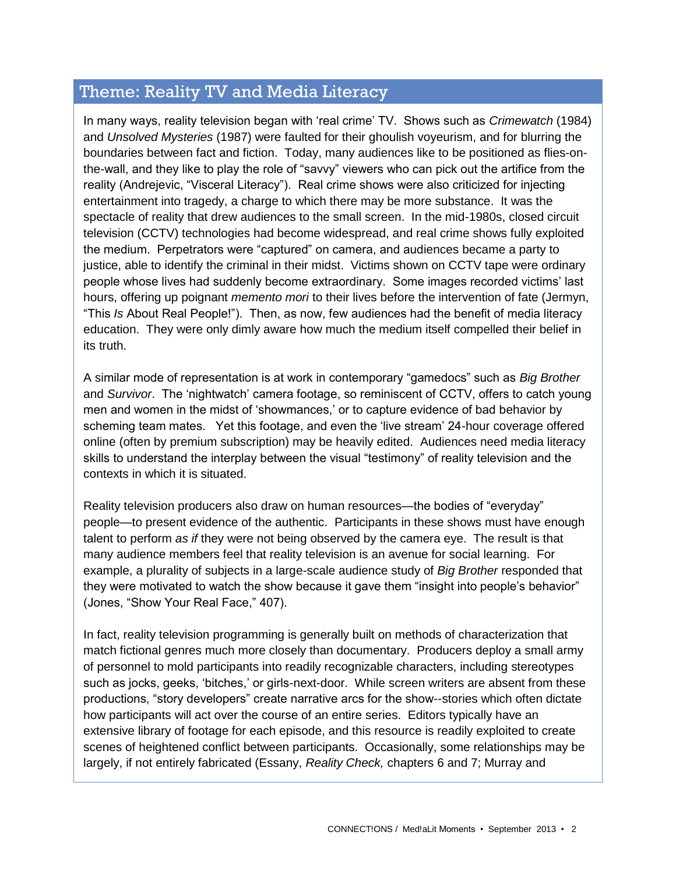# Theme: Reality TV and Media Literacy

In many ways, reality television began with 'real crime' TV. Shows such as *Crimewatch* (1984) and *Unsolved Mysteries* (1987) were faulted for their ghoulish voyeurism, and for blurring the boundaries between fact and fiction. Today, many audiences like to be positioned as flies-onthe-wall, and they like to play the role of "savvy" viewers who can pick out the artifice from the reality (Andrejevic, "Visceral Literacy"). Real crime shows were also criticized for injecting entertainment into tragedy, a charge to which there may be more substance. It was the spectacle of reality that drew audiences to the small screen. In the mid-1980s, closed circuit television (CCTV) technologies had become widespread, and real crime shows fully exploited the medium. Perpetrators were "captured" on camera, and audiences became a party to justice, able to identify the criminal in their midst. Victims shown on CCTV tape were ordinary people whose lives had suddenly become extraordinary. Some images recorded victims' last hours, offering up poignant *memento mori* to their lives before the intervention of fate (Jermyn, "This *Is* About Real People!"). Then, as now, few audiences had the benefit of media literacy education. They were only dimly aware how much the medium itself compelled their belief in its truth.

A similar mode of representation is at work in contemporary "gamedocs" such as *Big Brother*  and *Survivor*. The 'nightwatch' camera footage, so reminiscent of CCTV, offers to catch young men and women in the midst of 'showmances,' or to capture evidence of bad behavior by scheming team mates. Yet this footage, and even the 'live stream' 24-hour coverage offered online (often by premium subscription) may be heavily edited. Audiences need media literacy skills to understand the interplay between the visual "testimony" of reality television and the contexts in which it is situated.

Reality television producers also draw on human resources—the bodies of "everyday" people—to present evidence of the authentic. Participants in these shows must have enough talent to perform *as if* they were not being observed by the camera eye. The result is that many audience members feel that reality television is an avenue for social learning. For example, a plurality of subjects in a large-scale audience study of *Big Brother* responded that they were motivated to watch the show because it gave them "insight into people's behavior" (Jones, "Show Your Real Face," 407).

In fact, reality television programming is generally built on methods of characterization that match fictional genres much more closely than documentary. Producers deploy a small army of personnel to mold participants into readily recognizable characters, including stereotypes such as jocks, geeks, 'bitches,' or girls-next-door. While screen writers are absent from these productions, "story developers" create narrative arcs for the show--stories which often dictate how participants will act over the course of an entire series. Editors typically have an extensive library of footage for each episode, and this resource is readily exploited to create scenes of heightened conflict between participants. Occasionally, some relationships may be largely, if not entirely fabricated (Essany, *Reality Check,* chapters 6 and 7; Murray and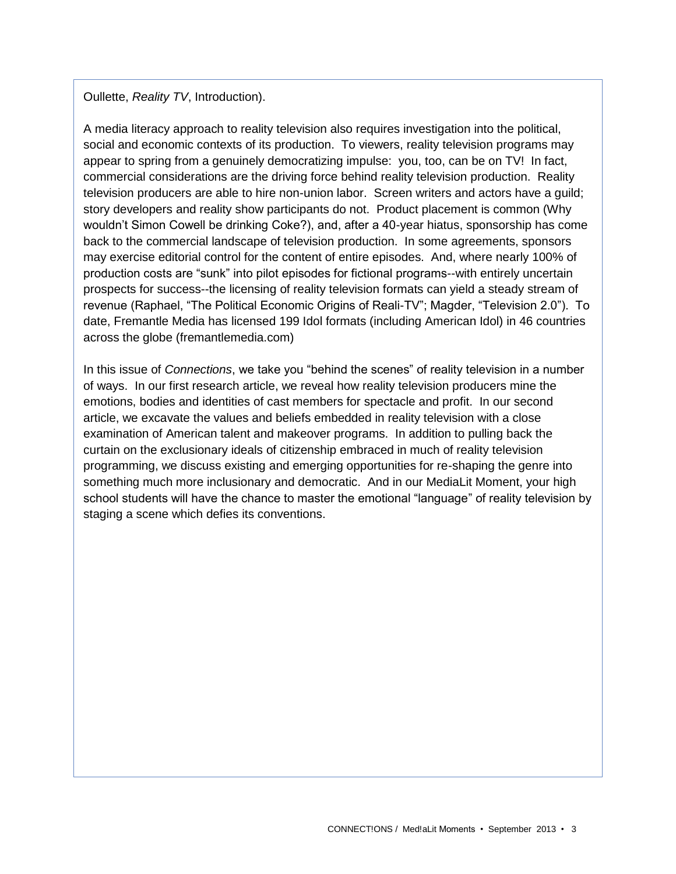Oullette, *Reality TV*, Introduction).

A media literacy approach to reality television also requires investigation into the political, social and economic contexts of its production. To viewers, reality television programs may appear to spring from a genuinely democratizing impulse: you, too, can be on TV! In fact, commercial considerations are the driving force behind reality television production. Reality television producers are able to hire non-union labor. Screen writers and actors have a guild; story developers and reality show participants do not. Product placement is common (Why wouldn't Simon Cowell be drinking Coke?), and, after a 40-year hiatus, sponsorship has come back to the commercial landscape of television production. In some agreements, sponsors may exercise editorial control for the content of entire episodes. And, where nearly 100% of production costs are "sunk" into pilot episodes for fictional programs--with entirely uncertain prospects for success--the licensing of reality television formats can yield a steady stream of revenue (Raphael, "The Political Economic Origins of Reali-TV"; Magder, "Television 2.0"). To date, Fremantle Media has licensed 199 Idol formats (including American Idol) in 46 countries across the globe (fremantlemedia.com)

In this issue of *Connections*, we take you "behind the scenes" of reality television in a number of ways. In our first research article, we reveal how reality television producers mine the emotions, bodies and identities of cast members for spectacle and profit. In our second article, we excavate the values and beliefs embedded in reality television with a close examination of American talent and makeover programs. In addition to pulling back the curtain on the exclusionary ideals of citizenship embraced in much of reality television programming, we discuss existing and emerging opportunities for re-shaping the genre into something much more inclusionary and democratic. And in our MediaLit Moment, your high school students will have the chance to master the emotional "language" of reality television by staging a scene which defies its conventions.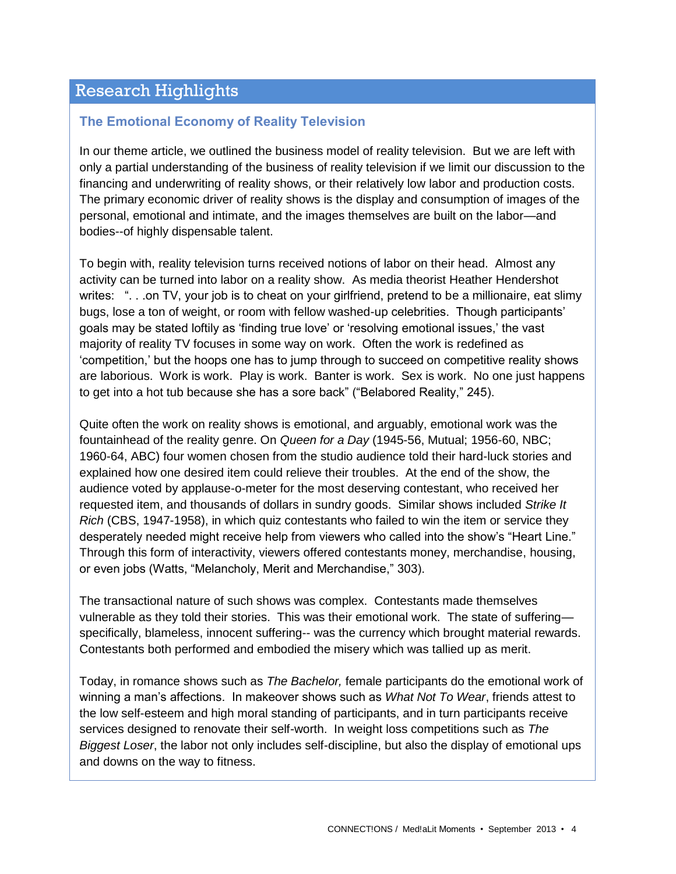# Research Highlights

#### **The Emotional Economy of Reality Television**

In our theme article, we outlined the business model of reality television. But we are left with only a partial understanding of the business of reality television if we limit our discussion to the financing and underwriting of reality shows, or their relatively low labor and production costs. The primary economic driver of reality shows is the display and consumption of images of the personal, emotional and intimate, and the images themselves are built on the labor—and bodies--of highly dispensable talent.

To begin with, reality television turns received notions of labor on their head. Almost any activity can be turned into labor on a reality show. As media theorist Heather Hendershot writes: "... on TV, your job is to cheat on your girlfriend, pretend to be a millionaire, eat slimy bugs, lose a ton of weight, or room with fellow washed-up celebrities. Though participants' goals may be stated loftily as 'finding true love' or 'resolving emotional issues,' the vast majority of reality TV focuses in some way on work. Often the work is redefined as 'competition,' but the hoops one has to jump through to succeed on competitive reality shows are laborious. Work is work. Play is work. Banter is work. Sex is work. No one just happens to get into a hot tub because she has a sore back" ("Belabored Reality," 245).

Quite often the work on reality shows is emotional, and arguably, emotional work was the fountainhead of the reality genre. On *Queen for a Day* (1945-56, Mutual; 1956-60, NBC; 1960-64, ABC) four women chosen from the studio audience told their hard-luck stories and explained how one desired item could relieve their troubles. At the end of the show, the audience voted by applause-o-meter for the most deserving contestant, who received her requested item, and thousands of dollars in sundry goods. Similar shows included *Strike It Rich* (CBS, 1947-1958), in which quiz contestants who failed to win the item or service they desperately needed might receive help from viewers who called into the show's "Heart Line." Through this form of interactivity, viewers offered contestants money, merchandise, housing, or even jobs (Watts, "Melancholy, Merit and Merchandise," 303).

The transactional nature of such shows was complex. Contestants made themselves vulnerable as they told their stories. This was their emotional work. The state of suffering specifically, blameless, innocent suffering-- was the currency which brought material rewards. Contestants both performed and embodied the misery which was tallied up as merit.

Today, in romance shows such as *The Bachelor,* female participants do the emotional work of winning a man's affections. In makeover shows such as *What Not To Wear*, friends attest to the low self-esteem and high moral standing of participants, and in turn participants receive services designed to renovate their self-worth. In weight loss competitions such as *The Biggest Loser*, the labor not only includes self-discipline, but also the display of emotional ups and downs on the way to fitness.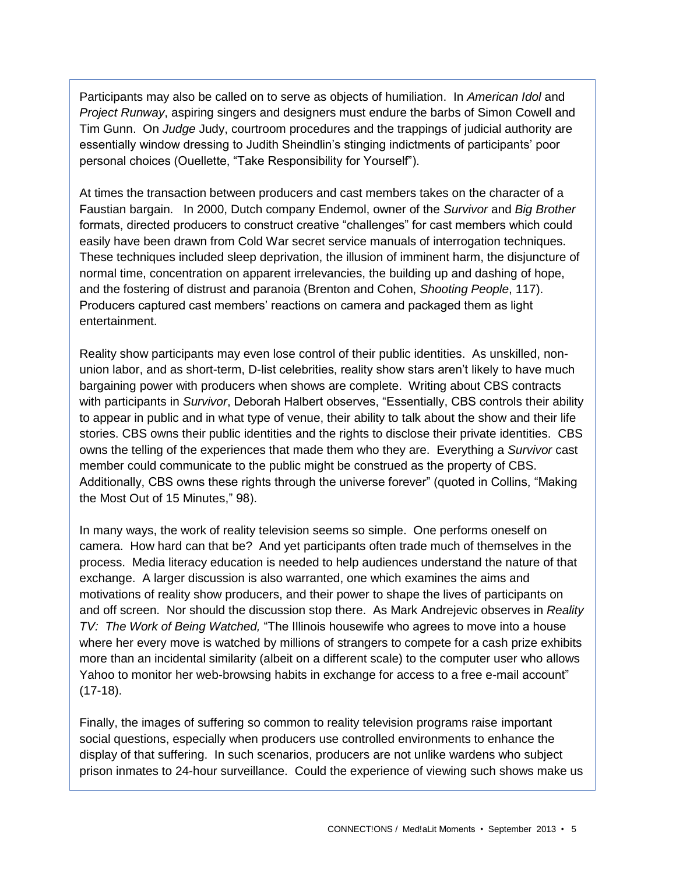Participants may also be called on to serve as objects of humiliation. In *American Idol* and *Project Runway*, aspiring singers and designers must endure the barbs of Simon Cowell and Tim Gunn. On *Judge* Judy, courtroom procedures and the trappings of judicial authority are essentially window dressing to Judith Sheindlin's stinging indictments of participants' poor personal choices (Ouellette, "Take Responsibility for Yourself").

At times the transaction between producers and cast members takes on the character of a Faustian bargain. In 2000, Dutch company Endemol, owner of the *Survivor* and *Big Brother*  formats, directed producers to construct creative "challenges" for cast members which could easily have been drawn from Cold War secret service manuals of interrogation techniques. These techniques included sleep deprivation, the illusion of imminent harm, the disjuncture of normal time, concentration on apparent irrelevancies, the building up and dashing of hope, and the fostering of distrust and paranoia (Brenton and Cohen, *Shooting People*, 117). Producers captured cast members' reactions on camera and packaged them as light entertainment.

Reality show participants may even lose control of their public identities. As unskilled, nonunion labor, and as short-term, D-list celebrities, reality show stars aren't likely to have much bargaining power with producers when shows are complete. Writing about CBS contracts with participants in *Survivor*, Deborah Halbert observes, "Essentially, CBS controls their ability to appear in public and in what type of venue, their ability to talk about the show and their life stories. CBS owns their public identities and the rights to disclose their private identities. CBS owns the telling of the experiences that made them who they are. Everything a *Survivor* cast member could communicate to the public might be construed as the property of CBS. Additionally, CBS owns these rights through the universe forever" (quoted in Collins, "Making the Most Out of 15 Minutes," 98).

In many ways, the work of reality television seems so simple. One performs oneself on camera. How hard can that be? And yet participants often trade much of themselves in the process. Media literacy education is needed to help audiences understand the nature of that exchange. A larger discussion is also warranted, one which examines the aims and motivations of reality show producers, and their power to shape the lives of participants on and off screen. Nor should the discussion stop there. As Mark Andrejevic observes in *Reality TV: The Work of Being Watched,* "The Illinois housewife who agrees to move into a house where her every move is watched by millions of strangers to compete for a cash prize exhibits more than an incidental similarity (albeit on a different scale) to the computer user who allows Yahoo to monitor her web-browsing habits in exchange for access to a free e-mail account" (17-18).

Finally, the images of suffering so common to reality television programs raise important social questions, especially when producers use controlled environments to enhance the display of that suffering. In such scenarios, producers are not unlike wardens who subject prison inmates to 24-hour surveillance. Could the experience of viewing such shows make us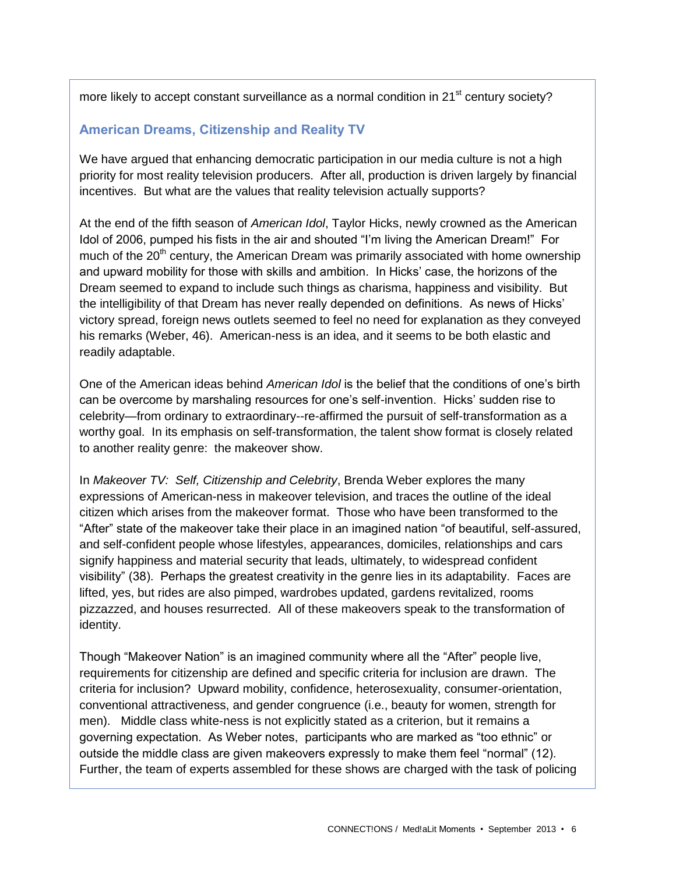more likely to accept constant surveillance as a normal condition in  $21<sup>st</sup>$  century society?

#### **American Dreams, Citizenship and Reality TV**

We have argued that enhancing democratic participation in our media culture is not a high priority for most reality television producers. After all, production is driven largely by financial incentives. But what are the values that reality television actually supports?

At the end of the fifth season of *American Idol*, Taylor Hicks, newly crowned as the American Idol of 2006, pumped his fists in the air and shouted "I'm living the American Dream!" For much of the  $20<sup>th</sup>$  century, the American Dream was primarily associated with home ownership and upward mobility for those with skills and ambition. In Hicks' case, the horizons of the Dream seemed to expand to include such things as charisma, happiness and visibility. But the intelligibility of that Dream has never really depended on definitions. As news of Hicks' victory spread, foreign news outlets seemed to feel no need for explanation as they conveyed his remarks (Weber, 46). American-ness is an idea, and it seems to be both elastic and readily adaptable.

One of the American ideas behind *American Idol* is the belief that the conditions of one's birth can be overcome by marshaling resources for one's self-invention. Hicks' sudden rise to celebrity—from ordinary to extraordinary--re-affirmed the pursuit of self-transformation as a worthy goal. In its emphasis on self-transformation, the talent show format is closely related to another reality genre: the makeover show.

In *Makeover TV: Self, Citizenship and Celebrity*, Brenda Weber explores the many expressions of American-ness in makeover television, and traces the outline of the ideal citizen which arises from the makeover format. Those who have been transformed to the "After" state of the makeover take their place in an imagined nation "of beautiful, self-assured, and self-confident people whose lifestyles, appearances, domiciles, relationships and cars signify happiness and material security that leads, ultimately, to widespread confident visibility" (38). Perhaps the greatest creativity in the genre lies in its adaptability. Faces are lifted, yes, but rides are also pimped, wardrobes updated, gardens revitalized, rooms pizzazzed, and houses resurrected. All of these makeovers speak to the transformation of identity.

Though "Makeover Nation" is an imagined community where all the "After" people live, requirements for citizenship are defined and specific criteria for inclusion are drawn. The criteria for inclusion? Upward mobility, confidence, heterosexuality, consumer-orientation, conventional attractiveness, and gender congruence (i.e., beauty for women, strength for men). Middle class white-ness is not explicitly stated as a criterion, but it remains a governing expectation. As Weber notes, participants who are marked as "too ethnic" or outside the middle class are given makeovers expressly to make them feel "normal" (12). Further, the team of experts assembled for these shows are charged with the task of policing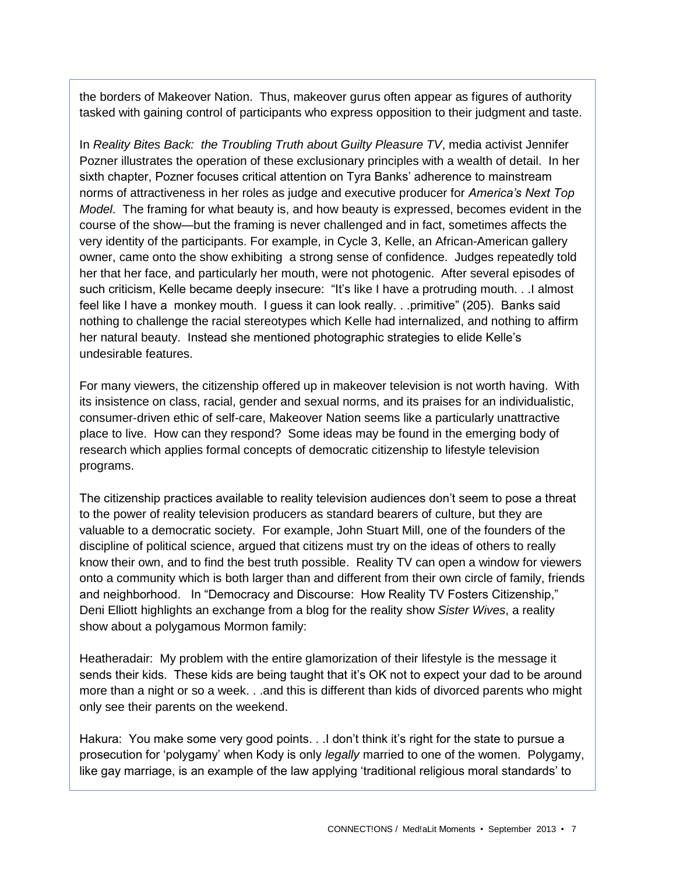the borders of Makeover Nation. Thus, makeover gurus often appear as figures of authority tasked with gaining control of participants who express opposition to their judgment and taste.

In *Reality Bites Back: the Troubling Truth abou*t *Guilty Pleasure TV*, media activist Jennifer Pozner illustrates the operation of these exclusionary principles with a wealth of detail. In her sixth chapter, Pozner focuses critical attention on Tyra Banks' adherence to mainstream norms of attractiveness in her roles as judge and executive producer for *America's Next Top Model*. The framing for what beauty is, and how beauty is expressed, becomes evident in the course of the show—but the framing is never challenged and in fact, sometimes affects the very identity of the participants. For example, in Cycle 3, Kelle, an African-American gallery owner, came onto the show exhibiting a strong sense of confidence. Judges repeatedly told her that her face, and particularly her mouth, were not photogenic. After several episodes of such criticism, Kelle became deeply insecure: "It's like I have a protruding mouth. . .I almost feel like I have a monkey mouth. I guess it can look really. . .primitive" (205). Banks said nothing to challenge the racial stereotypes which Kelle had internalized, and nothing to affirm her natural beauty. Instead she mentioned photographic strategies to elide Kelle's undesirable features.

For many viewers, the citizenship offered up in makeover television is not worth having. With its insistence on class, racial, gender and sexual norms, and its praises for an individualistic, consumer-driven ethic of self-care, Makeover Nation seems like a particularly unattractive place to live. How can they respond? Some ideas may be found in the emerging body of research which applies formal concepts of democratic citizenship to lifestyle television programs.

The citizenship practices available to reality television audiences don't seem to pose a threat to the power of reality television producers as standard bearers of culture, but they are valuable to a democratic society. For example, John Stuart Mill, one of the founders of the discipline of political science, argued that citizens must try on the ideas of others to really know their own, and to find the best truth possible. Reality TV can open a window for viewers onto a community which is both larger than and different from their own circle of family, friends and neighborhood. In "Democracy and Discourse: How Reality TV Fosters Citizenship," Deni Elliott highlights an exchange from a blog for the reality show *Sister Wives*, a reality show about a polygamous Mormon family:

Heatheradair: My problem with the entire glamorization of their lifestyle is the message it sends their kids. These kids are being taught that it's OK not to expect your dad to be around more than a night or so a week. . .and this is different than kids of divorced parents who might only see their parents on the weekend.

Hakura: You make some very good points. . .I don't think it's right for the state to pursue a prosecution for 'polygamy' when Kody is only *legally* married to one of the women. Polygamy, like gay marriage, is an example of the law applying 'traditional religious moral standards' to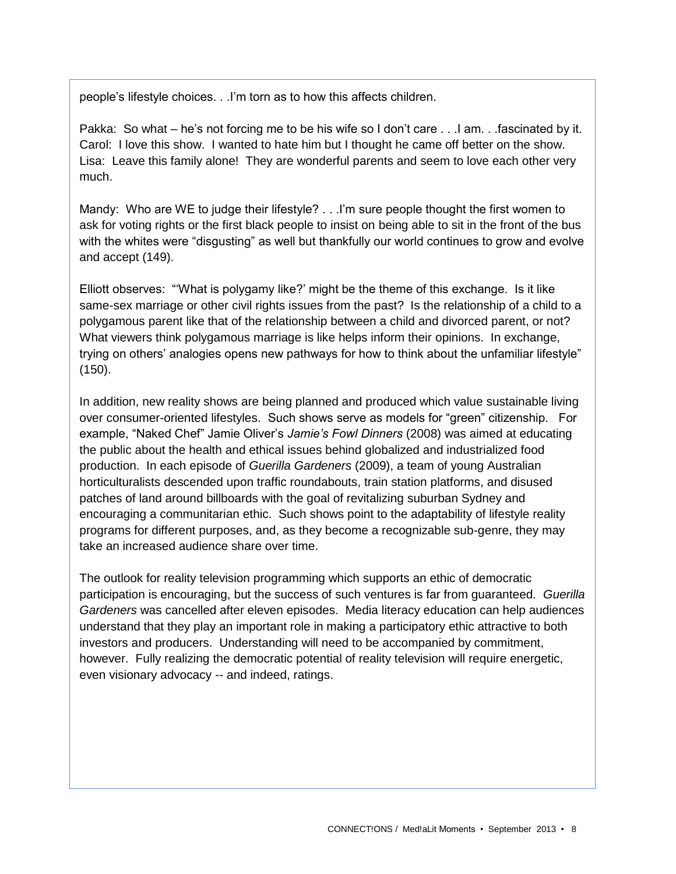people's lifestyle choices. . .I'm torn as to how this affects children.

Pakka: So what – he's not forcing me to be his wife so I don't care . . .I am. . .fascinated by it. Carol: I love this show. I wanted to hate him but I thought he came off better on the show. Lisa: Leave this family alone! They are wonderful parents and seem to love each other very much.

Mandy: Who are WE to judge their lifestyle? . . . I'm sure people thought the first women to ask for voting rights or the first black people to insist on being able to sit in the front of the bus with the whites were "disgusting" as well but thankfully our world continues to grow and evolve and accept (149).

Elliott observes: "'What is polygamy like?' might be the theme of this exchange. Is it like same-sex marriage or other civil rights issues from the past? Is the relationship of a child to a polygamous parent like that of the relationship between a child and divorced parent, or not? What viewers think polygamous marriage is like helps inform their opinions. In exchange, trying on others' analogies opens new pathways for how to think about the unfamiliar lifestyle" (150).

In addition, new reality shows are being planned and produced which value sustainable living over consumer-oriented lifestyles. Such shows serve as models for "green" citizenship. For example, "Naked Chef" Jamie Oliver's *Jamie's Fowl Dinners* (2008) was aimed at educating the public about the health and ethical issues behind globalized and industrialized food production. In each episode of *Guerilla Gardeners* (2009), a team of young Australian horticulturalists descended upon traffic roundabouts, train station platforms, and disused patches of land around billboards with the goal of revitalizing suburban Sydney and encouraging a communitarian ethic. Such shows point to the adaptability of lifestyle reality programs for different purposes, and, as they become a recognizable sub-genre, they may take an increased audience share over time.

The outlook for reality television programming which supports an ethic of democratic participation is encouraging, but the success of such ventures is far from guaranteed. *Guerilla Gardeners* was cancelled after eleven episodes. Media literacy education can help audiences understand that they play an important role in making a participatory ethic attractive to both investors and producers. Understanding will need to be accompanied by commitment, however. Fully realizing the democratic potential of reality television will require energetic, even visionary advocacy -- and indeed, ratings.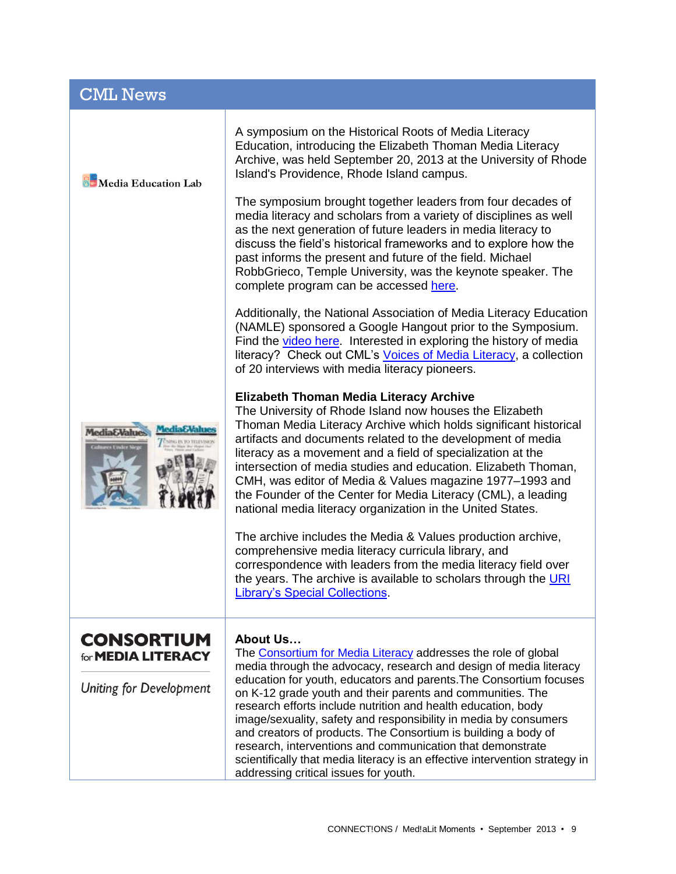| <b>CML News</b>                                                                  |                                                                                                                                                                                                                                                                                                                                                                                                                                                                                                                                                                          |
|----------------------------------------------------------------------------------|--------------------------------------------------------------------------------------------------------------------------------------------------------------------------------------------------------------------------------------------------------------------------------------------------------------------------------------------------------------------------------------------------------------------------------------------------------------------------------------------------------------------------------------------------------------------------|
| <b>Bo</b> Media Education Lab                                                    | A symposium on the Historical Roots of Media Literacy<br>Education, introducing the Elizabeth Thoman Media Literacy<br>Archive, was held September 20, 2013 at the University of Rhode<br>Island's Providence, Rhode Island campus.                                                                                                                                                                                                                                                                                                                                      |
|                                                                                  | The symposium brought together leaders from four decades of<br>media literacy and scholars from a variety of disciplines as well<br>as the next generation of future leaders in media literacy to<br>discuss the field's historical frameworks and to explore how the<br>past informs the present and future of the field. Michael<br>RobbGrieco, Temple University, was the keynote speaker. The<br>complete program can be accessed here.                                                                                                                              |
|                                                                                  | Additionally, the National Association of Media Literacy Education<br>(NAMLE) sponsored a Google Hangout prior to the Symposium.<br>Find the video here. Interested in exploring the history of media<br>literacy? Check out CML's Voices of Media Literacy, a collection<br>of 20 interviews with media literacy pioneers.                                                                                                                                                                                                                                              |
| <b>MediaEValue</b><br>s Under Sir                                                | <b>Elizabeth Thoman Media Literacy Archive</b><br>The University of Rhode Island now houses the Elizabeth<br>Thoman Media Literacy Archive which holds significant historical<br>artifacts and documents related to the development of media<br>literacy as a movement and a field of specialization at the<br>intersection of media studies and education. Elizabeth Thoman,<br>CMH, was editor of Media & Values magazine 1977–1993 and<br>the Founder of the Center for Media Literacy (CML), a leading<br>national media literacy organization in the United States. |
|                                                                                  | The archive includes the Media & Values production archive,<br>comprehensive media literacy curricula library, and<br>correspondence with leaders from the media literacy field over<br>the years. The archive is available to scholars through the URI<br><b>Library's Special Collections.</b>                                                                                                                                                                                                                                                                         |
| <b>CONSORTIUM</b><br>for <b>MEDIA LITERACY</b><br><b>Uniting for Development</b> | <b>About Us</b><br>The Consortium for Media Literacy addresses the role of global<br>media through the advocacy, research and design of media literacy<br>education for youth, educators and parents. The Consortium focuses<br>on K-12 grade youth and their parents and communities. The<br>research efforts include nutrition and health education, body                                                                                                                                                                                                              |
|                                                                                  | image/sexuality, safety and responsibility in media by consumers<br>and creators of products. The Consortium is building a body of<br>research, interventions and communication that demonstrate<br>scientifically that media literacy is an effective intervention strategy in<br>addressing critical issues for youth.                                                                                                                                                                                                                                                 |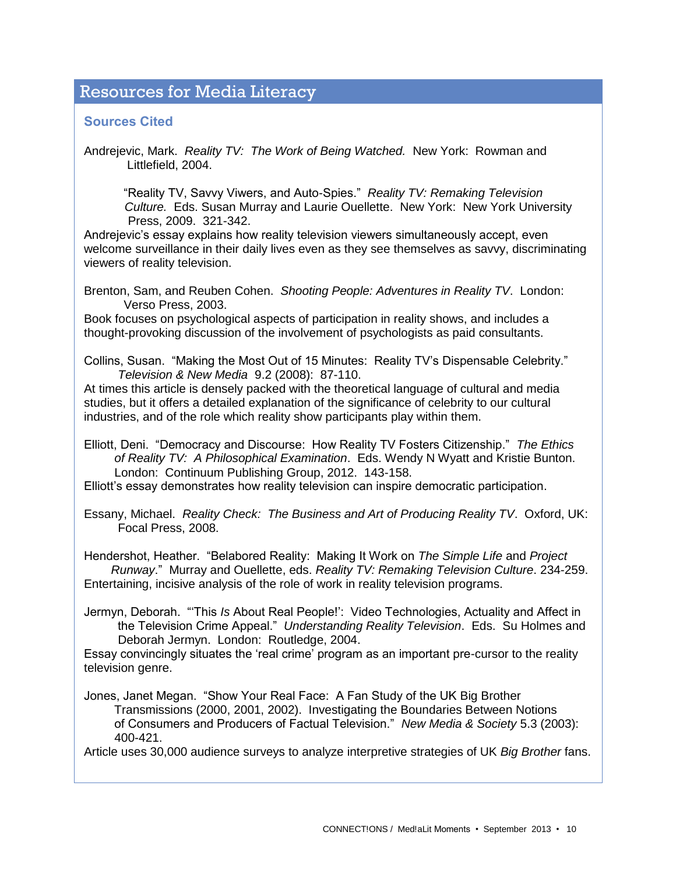### Resources for Media Literacy

#### **Sources Cited**

Andrejevic, Mark. *Reality TV: The Work of Being Watched.* New York: Rowman and Littlefield, 2004.

"Reality TV, Savvy Viwers, and Auto-Spies." *Reality TV: Remaking Television Culture.* Eds. Susan Murray and Laurie Ouellette. New York: New York University Press, 2009. 321-342.

Andrejevic's essay explains how reality television viewers simultaneously accept, even welcome surveillance in their daily lives even as they see themselves as savvy, discriminating viewers of reality television.

Brenton, Sam, and Reuben Cohen. *Shooting People: Adventures in Reality TV*. London: Verso Press, 2003.

Book focuses on psychological aspects of participation in reality shows, and includes a thought-provoking discussion of the involvement of psychologists as paid consultants.

Collins, Susan. "Making the Most Out of 15 Minutes: Reality TV's Dispensable Celebrity." *Television & New Media* 9.2 (2008): 87-110.

At times this article is densely packed with the theoretical language of cultural and media studies, but it offers a detailed explanation of the significance of celebrity to our cultural industries, and of the role which reality show participants play within them.

Elliott, Deni. "Democracy and Discourse: How Reality TV Fosters Citizenship." *The Ethics of Reality TV: A Philosophical Examination*. Eds. Wendy N Wyatt and Kristie Bunton. London: Continuum Publishing Group, 2012. 143-158.

Elliott's essay demonstrates how reality television can inspire democratic participation.

Essany, Michael. *Reality Check: The Business and Art of Producing Reality TV*. Oxford, UK: Focal Press, 2008.

Hendershot, Heather. "Belabored Reality: Making It Work on *The Simple Life* and *Project Runway*." Murray and Ouellette, eds. *Reality TV: Remaking Television Culture*. 234-259. Entertaining, incisive analysis of the role of work in reality television programs.

Jermyn, Deborah. "'This *Is* About Real People!': Video Technologies, Actuality and Affect in the Television Crime Appeal." *Understanding Reality Television*. Eds. Su Holmes and Deborah Jermyn. London: Routledge, 2004.

Essay convincingly situates the 'real crime' program as an important pre-cursor to the reality television genre.

Jones, Janet Megan. "Show Your Real Face: A Fan Study of the UK Big Brother Transmissions (2000, 2001, 2002). Investigating the Boundaries Between Notions of Consumers and Producers of Factual Television." *New Media & Society* 5.3 (2003): 400-421.

Article uses 30,000 audience surveys to analyze interpretive strategies of UK *Big Brother* fans.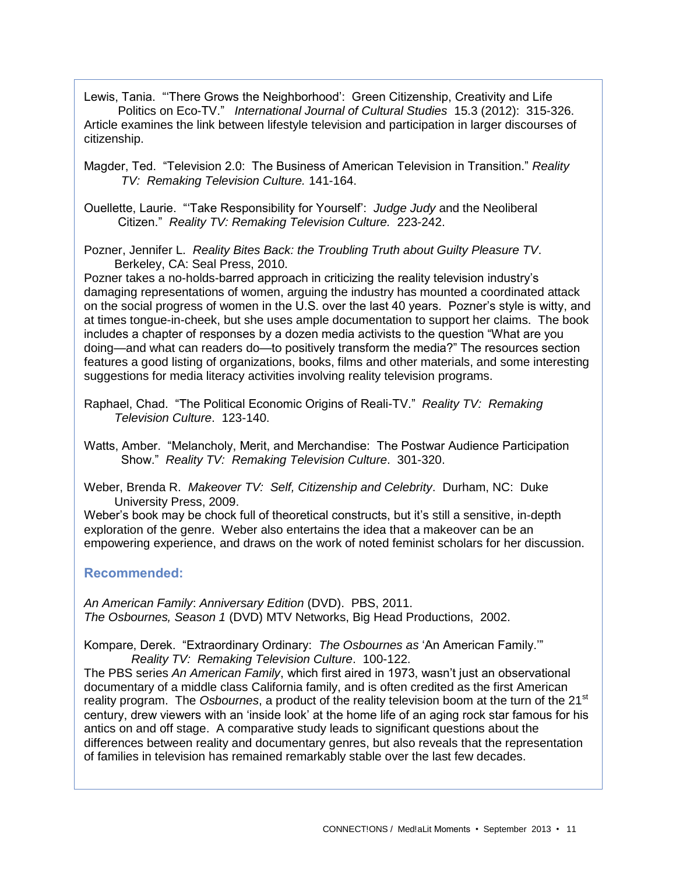Lewis, Tania. "'There Grows the Neighborhood': Green Citizenship, Creativity and Life Politics on Eco-TV." *International Journal of Cultural Studies* 15.3 (2012): 315-326. Article examines the link between lifestyle television and participation in larger discourses of citizenship.

Magder, Ted. "Television 2.0: The Business of American Television in Transition." *Reality TV: Remaking Television Culture.* 141-164.

Ouellette, Laurie. "'Take Responsibility for Yourself': *Judge Judy* and the Neoliberal Citizen." *Reality TV: Remaking Television Culture.* 223-242.

Pozner, Jennifer L. *Reality Bites Back: the Troubling Truth about Guilty Pleasure TV*. Berkeley, CA: Seal Press, 2010.

Pozner takes a no-holds-barred approach in criticizing the reality television industry's damaging representations of women, arguing the industry has mounted a coordinated attack on the social progress of women in the U.S. over the last 40 years. Pozner's style is witty, and at times tongue-in-cheek, but she uses ample documentation to support her claims. The book includes a chapter of responses by a dozen media activists to the question "What are you doing—and what can readers do—to positively transform the media?" The resources section features a good listing of organizations, books, films and other materials, and some interesting suggestions for media literacy activities involving reality television programs.

Raphael, Chad. "The Political Economic Origins of Reali-TV." *Reality TV: Remaking Television Culture*. 123-140.

Watts, Amber. "Melancholy, Merit, and Merchandise: The Postwar Audience Participation Show." *Reality TV: Remaking Television Culture*. 301-320.

Weber, Brenda R. *Makeover TV: Self, Citizenship and Celebrity*. Durham, NC: Duke University Press, 2009.

Weber's book may be chock full of theoretical constructs, but it's still a sensitive, in-depth exploration of the genre. Weber also entertains the idea that a makeover can be an empowering experience, and draws on the work of noted feminist scholars for her discussion.

#### **Recommended:**

*An American Family*: *Anniversary Edition* (DVD). PBS, 2011. *The Osbournes, Season 1* (DVD) MTV Networks, Big Head Productions, 2002.

Kompare, Derek. "Extraordinary Ordinary: *The Osbournes as* 'An American Family.'" *Reality TV: Remaking Television Culture*. 100-122.

The PBS series *An American Family*, which first aired in 1973, wasn't just an observational documentary of a middle class California family, and is often credited as the first American reality program. The *Osbournes*, a product of the reality television boom at the turn of the 21<sup>st</sup> century, drew viewers with an 'inside look' at the home life of an aging rock star famous for his antics on and off stage. A comparative study leads to significant questions about the differences between reality and documentary genres, but also reveals that the representation of families in television has remained remarkably stable over the last few decades.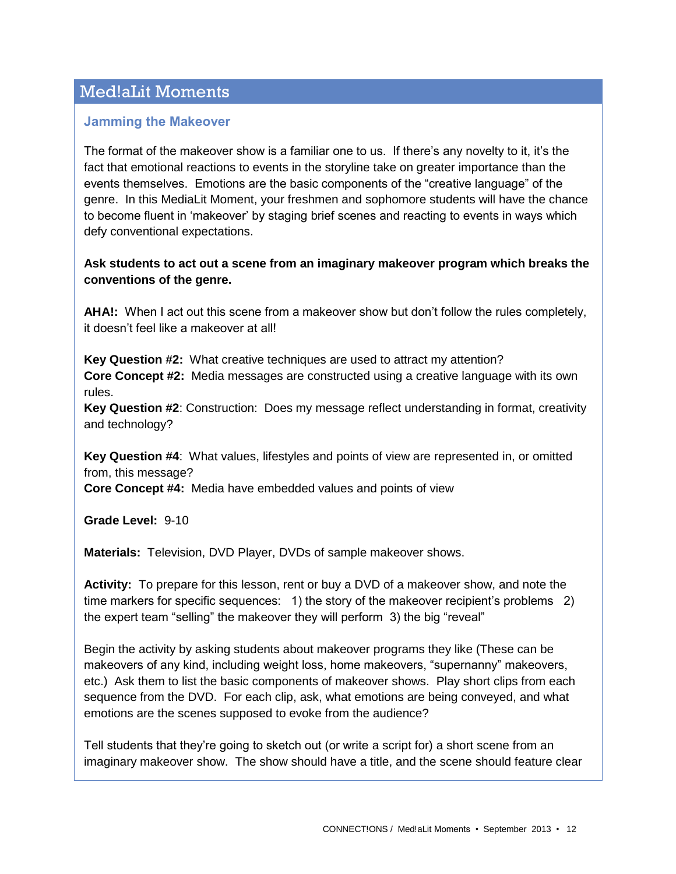# Med!aLit Moments

#### **Jamming the Makeover**

The format of the makeover show is a familiar one to us. If there's any novelty to it, it's the fact that emotional reactions to events in the storyline take on greater importance than the events themselves. Emotions are the basic components of the "creative language" of the genre. In this MediaLit Moment, your freshmen and sophomore students will have the chance to become fluent in 'makeover' by staging brief scenes and reacting to events in ways which defy conventional expectations.

#### **Ask students to act out a scene from an imaginary makeover program which breaks the conventions of the genre.**

**AHA!:** When I act out this scene from a makeover show but don't follow the rules completely, it doesn't feel like a makeover at all!

**Key Question #2:** What creative techniques are used to attract my attention? **Core Concept #2:** Media messages are constructed using a creative language with its own rules.

**Key Question #2**: Construction: Does my message reflect understanding in format, creativity and technology?

**Key Question #4**: What values, lifestyles and points of view are represented in, or omitted from, this message?

**Core Concept #4:** Media have embedded values and points of view

**Grade Level:** 9-10

**Materials:** Television, DVD Player, DVDs of sample makeover shows.

**Activity:** To prepare for this lesson, rent or buy a DVD of a makeover show, and note the time markers for specific sequences: 1) the story of the makeover recipient's problems 2) the expert team "selling" the makeover they will perform 3) the big "reveal"

Begin the activity by asking students about makeover programs they like (These can be makeovers of any kind, including weight loss, home makeovers, "supernanny" makeovers, etc.) Ask them to list the basic components of makeover shows. Play short clips from each sequence from the DVD. For each clip, ask, what emotions are being conveyed, and what emotions are the scenes supposed to evoke from the audience?

Tell students that they're going to sketch out (or write a script for) a short scene from an imaginary makeover show. The show should have a title, and the scene should feature clear